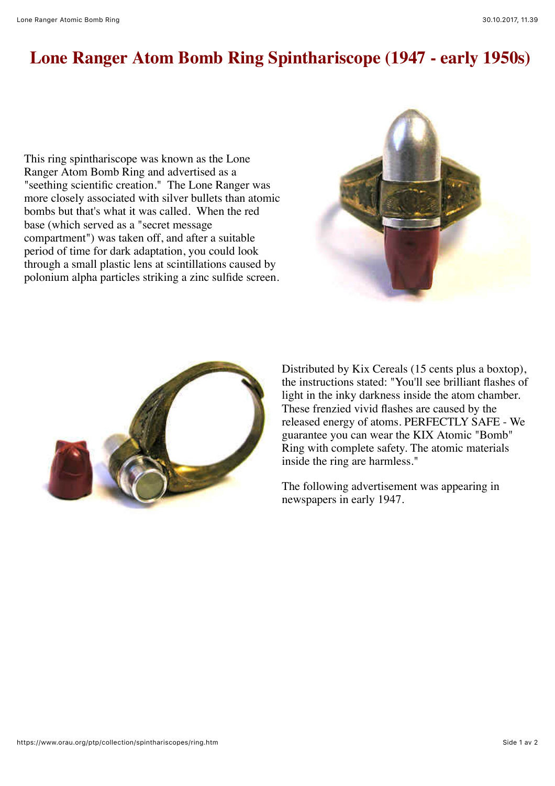## **Lone Ranger Atom Bomb Ring Spinthariscope (1947 - early 1950s)**

This ring spinthariscope was known as the Lone Ranger Atom Bomb Ring and advertised as a "seething scientific creation." The Lone Ranger was more closely associated with silver bullets than atomic bombs but that's what it was called. When the red base (which served as a "secret message compartment") was taken off, and after a suitable period of time for dark adaptation, you could look through a small plastic lens at scintillations caused by polonium alpha particles striking a zinc sulfide screen.





Distributed by Kix Cereals (15 cents plus a boxtop), the instructions stated: "You'll see brilliant flashes of light in the inky darkness inside the atom chamber. These frenzied vivid flashes are caused by the released energy of atoms. PERFECTLY SAFE - We guarantee you can wear the KIX Atomic "Bomb" Ring with complete safety. The atomic materials inside the ring are harmless."

The following advertisement was appearing in newspapers in early 1947.